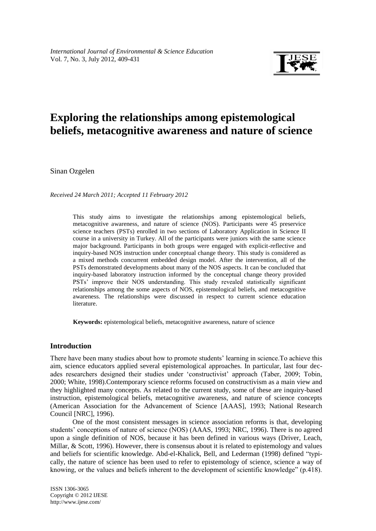

# **Exploring the relationships among epistemological beliefs, metacognitive awareness and nature of science**

Sinan Ozgelen

*Received 24 March 2011; Accepted 11 February 2012*

This study aims to investigate the relationships among epistemological beliefs, metacognitive awareness, and nature of science (NOS). Participants were 45 preservice science teachers (PSTs) enrolled in two sections of Laboratory Application in Science II course in a university in Turkey. All of the participants were juniors with the same science major background. Participants in both groups were engaged with explicit-reflective and inquiry-based NOS instruction under conceptual change theory. This study is considered as a mixed methods concurrent embedded design model. After the intervention, all of the PSTs demonstrated developments about many of the NOS aspects. It can be concluded that inquiry-based laboratory instruction informed by the conceptual change theory provided PSTs' improve their NOS understanding. This study revealed statistically significant relationships among the some aspects of NOS, epistemological beliefs, and metacognitive awareness. The relationships were discussed in respect to current science education literature.

**Keywords:** epistemological beliefs, metacognitive awareness, nature of science

## **Introduction**

There have been many studies about how to promote students' learning in science.To achieve this aim, science educators applied several epistemological approaches. In particular, last four decades researchers designed their studies under 'constructivist' approach (Taber, 2009; Tobin, 2000; White, 1998).Contemporary science reforms focused on constructivism as a main view and they highlighted many concepts. As related to the current study, some of these are inquiry-based instruction, epistemological beliefs, metacognitive awareness, and nature of science concepts (American Association for the Advancement of Science [AAAS], 1993; National Research Council [NRC], 1996).

One of the most consistent messages in science association reforms is that, developing students' conceptions of nature of science (NOS) (AAAS, 1993; NRC, 1996). There is no agreed upon a single definition of NOS, because it has been defined in various ways (Driver, Leach, Millar, & Scott, 1996). However, there is consensus about it is related to epistemology and values and beliefs for scientific knowledge. Abd-el-Khalick, Bell, and Lederman (1998) defined "typically, the nature of science has been used to refer to epistemology of science, science a way of knowing, or the values and beliefs inherent to the development of scientific knowledge" (p.418).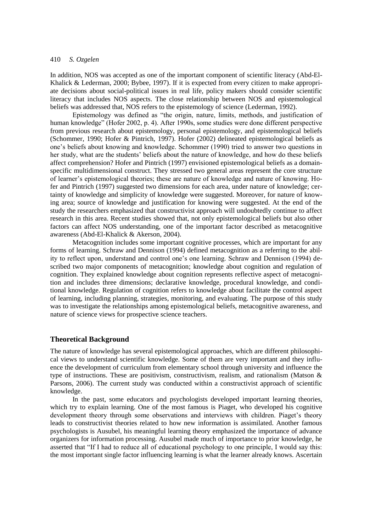In addition, NOS was accepted as one of the important component of scientific literacy (Abd-El-Khalick & Lederman, 2000; Bybee, 1997). If it is expected from every citizen to make appropriate decisions about social-political issues in real life, policy makers should consider scientific literacy that includes NOS aspects. The close relationship between NOS and epistemological beliefs was addressed that, NOS refers to the epistemology of science (Lederman, 1992).

Epistemology was defined as "the origin, nature, limits, methods, and justification of human knowledge" (Hofer 2002, p. 4). After 1990s, some studies were done different perspective from previous research about epistemology, personal epistemology, and epistemological beliefs (Schommer, 1990; Hofer & Pintrich, 1997). Hofer (2002) delineated epistemological beliefs as one's beliefs about knowing and knowledge. Schommer (1990) tried to answer two questions in her study, what are the students' beliefs about the nature of knowledge, and how do these beliefs affect comprehension? Hofer and Pintrich (1997) envisioned epistemological beliefs as a domainspecific multidimensional construct. They stressed two general areas represent the core structure of learner's epistemological theories; these are nature of knowledge and nature of knowing. Hofer and Pintrich (1997) suggested two dimensions for each area, under nature of knowledge; certainty of knowledge and simplicity of knowledge were suggested. Moreover, for nature of knowing area; source of knowledge and justification for knowing were suggested. At the end of the study the researchers emphasized that constructivist approach will undoubtedly continue to affect research in this area. Recent studies showed that, not only epistemological beliefs but also other factors can affect NOS understanding, one of the important factor described as metacognitive awareness (Abd-El-Khalick & Akerson, 2004).

Metacognition includes some important cognitive processes, which are important for any forms of learning. Schraw and Dennison (1994) defined metacognition as a referring to the ability to reflect upon, understand and control one's one learning. Schraw and Dennison (1994) described two major components of metacognition; knowledge about cognition and regulation of cognition. They explained knowledge about cognition represents reflective aspect of metacognition and includes three dimensions; declarative knowledge, procedural knowledge, and conditional knowledge. Regulation of cognition refers to knowledge about facilitate the control aspect of learning, including planning, strategies, monitoring, and evaluating. The purpose of this study was to investigate the relationships among epistemological beliefs, metacognitive awareness, and nature of science views for prospective science teachers.

#### **Theoretical Background**

The nature of knowledge has several epistemological approaches, which are different philosophical views to understand scientific knowledge. Some of them are very important and they influence the development of curriculum from elementary school through university and influence the type of instructions. These are positivism, constructivism, realism, and rationalism (Matson  $\&$ Parsons, 2006). The current study was conducted within a constructivist approach of scientific knowledge.

In the past, some educators and psychologists developed important learning theories, which try to explain learning. One of the most famous is Piaget, who developed his cognitive development theory through some observations and interviews with children. Piaget's theory leads to constructivist theories related to how new information is assimilated. Another famous psychologists is Ausubel, his meaningful learning theory emphasized the importance of advance organizers for information processing. Ausubel made much of importance to prior knowledge, he asserted that "If I had to reduce all of educational psychology to one principle, I would say this: the most important single factor influencing learning is what the learner already knows. Ascertain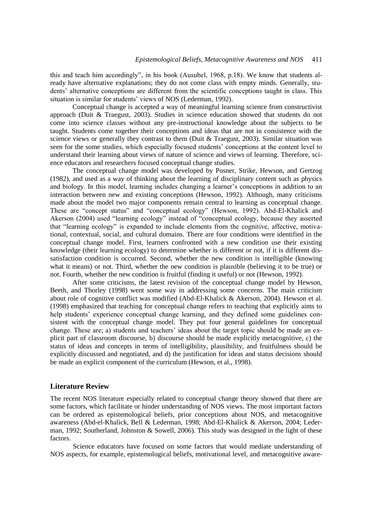this and teach him accordingly", in his book (Ausubel, 1968, p.18). We know that students already have alternative explanations; they do not come class with empty minds. Generally, students' alternative conceptions are different from the scientific conceptions taught in class. This situation is similar for students' views of NOS (Lederman, 1992).

Conceptual change is accepted a way of meaningful learning science from constructivist approach (Duit & Traegust, 2003). Studies in science education showed that students do not come into science classes without any pre-instructional knowledge about the subjects to be taught. Students come together their conceptions and ideas that are not in consistence with the science views or generally they contrast to them (Duit  $&$  Traegust, 2003). Similar situation was seen for the some studies, which especially focused students' conceptions at the content level to understand their learning about views of nature of science and views of learning. Therefore, science educators and researchers focused conceptual change studies.

The conceptual change model was developed by Posner, Strike, Hewson, and Gertzog (1982), and used as a way of thinking about the learning of disciplinary content such as physics and biology. In this model, learning includes changing a learner's conceptions in addition to an interaction between new and existing conceptions (Hewson, 1992). Although, many criticisms made about the model two major components remain central to learning as conceptual change. These are "concept status" and "conceptual ecology" (Hewson, 1992). Abd-El-Khalick and Akerson (2004) used "learning ecology" instead of "conceptual ecology, because they asserted that "learning ecology" is expanded to include elements from the cognitive, affective, motivational, contextual, social, and cultural domains. There are four conditions were identified in the conceptual change model. First, learners confronted with a new condition use their existing knowledge (their learning ecology) to determine whether is different or not, if it is different dissatisfaction condition is occurred. Second, whether the new condition is intelligible (knowing what it means) or not. Third, whether the new condition is plausible (believing it to be true) or not. Fourth, whether the new condition is fruitful (finding it useful) or not (Hewson, 1992).

After some criticisms, the latest revision of the conceptual change model by Hewson, Beeth, and Thorley (1998) went some way in addressing some concerns. The main criticism about role of cognitive conflict was modified (Abd-El-Khalick & Akerson, 2004). Hewson et al. (1998) emphasized that teaching for conceptual change refers to teaching that explicitly aims to help students' experience conceptual change learning, and they defined some guidelines consistent with the conceptual change model. They put four general guidelines for conceptual change. These are; a) students and teachers' ideas about the target topic should be made an explicit part of classroom discourse, b) discourse should be made explicitly metacognitive, c) the status of ideas and concepts in terms of intelligibility, plausibility, and fruitfulness should be explicitly discussed and negotiated, and d) the justification for ideas and status decisions should be made an explicit component of the curriculum (Hewson, et al., 1998).

#### **Literature Review**

The recent NOS literature especially related to conceptual change theory showed that there are some factors, which facilitate or hinder understanding of NOS views. The most important factors can be ordered as epistemological beliefs, prior conceptions about NOS, and metacognitive awareness (Abd-el-Khalick, Bell & Lederman, 1998; Abd-El-Khalick & Akerson, 2004; Lederman, 1992; Southerland, Johnston & Sowell, 2006). This study was designed in the light of these factors.

Science educators have focused on some factors that would mediate understanding of NOS aspects, for example, epistemological beliefs, motivational level, and metacognitive aware-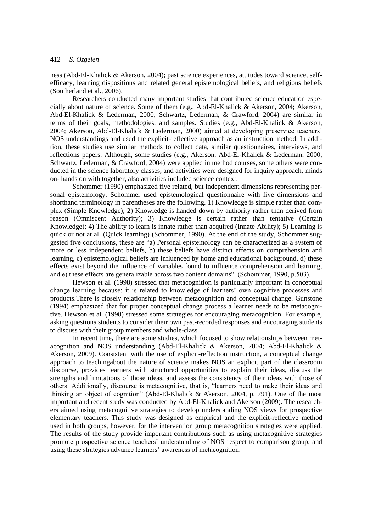ness (Abd-El-Khalick & Akerson, 2004); past science experiences, attitudes toward science, selfefficacy, learning dispositions and related general epistemological beliefs, and religious beliefs (Southerland et al., 2006).

Researchers conducted many important studies that contributed science education especially about nature of science. Some of them (e.g., Abd-El-Khalick & Akerson, 2004; Akerson, Abd-El-Khalick & Lederman, 2000; Schwartz, Lederman, & Crawford, 2004) are similar in terms of their goals, methodologies, and samples. Studies (e.g., Abd-El-Khalick & Akerson, 2004; Akerson, Abd-El-Khalick & Lederman, 2000) aimed at developing preservice teachers' NOS understandings and used the explicit-reflective approach as an instruction method. In addition, these studies use similar methods to collect data, similar questionnaires, interviews, and reflections papers. Although, some studies (e.g., Akerson, Abd-El-Khalick & Lederman, 2000; Schwartz, Lederman, & Crawford, 2004) were applied in method courses, some others were conducted in the science laboratory classes, and activities were designed for inquiry approach, minds on- hands on with together, also activities included science context.

Schommer (1990) emphasized five related, but independent dimensions representing personal epistemology. Schommer used epistemological questionnaire with five dimensions and shorthand terminology in parentheses are the following. 1) Knowledge is simple rather than complex (Simple Knowledge); 2) Knowledge is handed down by authority rather than derived from reason (Omniscent Authority); 3) Knowledge is certain rather than tentative (Certain Knowledge); 4) The ability to learn is innate rather than acquired (Innate Ability); 5) Learning is quick or not at all (Quick learning) (Schommer, 1990). At the end of the study, Schommer suggested five conclusions, these are "a) Personal epistemology can be characterized as a system of more or less independent beliefs, b) these beliefs have distinct effects on comprehension and learning, c) epistemological beliefs are influenced by home and educational background, d) these effects exist beyond the influence of variables found to influence comprehension and learning, and e) these effects are generalizable across two content domains" (Schommer, 1990, p.503).

Hewson et al. (1998) stressed that metacognition is particularly important in conceptual change learning because; it is related to knowledge of learners' own cognitive processes and products.There is closely relationship between metacognition and conceptual change. Gunstone (1994) emphasized that for proper conceptual change process a learner needs to be metacognitive. Hewson et al. (1998) stressed some strategies for encouraging metacognition. For example, asking questions students to consider their own past-recorded responses and encouraging students to discuss with their group members and whole-class.

In recent time, there are some studies, which focused to show relationships between metacognition and NOS understanding (Abd-El-Khalick & Akerson, 2004; Abd-El-Khalick & Akerson, 2009). Consistent with the use of explicit-reflection instruction, a conceptual change approach to teachingabout the nature of science makes NOS an explicit part of the classroom discourse, provides learners with structured opportunities to explain their ideas, discuss the strengths and limitations of those ideas, and assess the consistency of their ideas with those of others. Additionally, discourse is metacognitive, that is, "learners need to make their ideas and thinking an object of cognition" (Abd-El-Khalick & Akerson, 2004, p. 791). One of the most important and recent study was conducted by Abd-El-Khalick and Akerson (2009). The researchers aimed using metacognitive strategies to develop understanding NOS views for prospective elementary teachers. This study was designed as empirical and the explicit-reflective method used in both groups, however, for the intervention group metacognition strategies were applied. The results of the study provide important contributions such as using metacognitive strategies promote prospective science teachers' understanding of NOS respect to comparison group, and using these strategies advance learners' awareness of metacognition.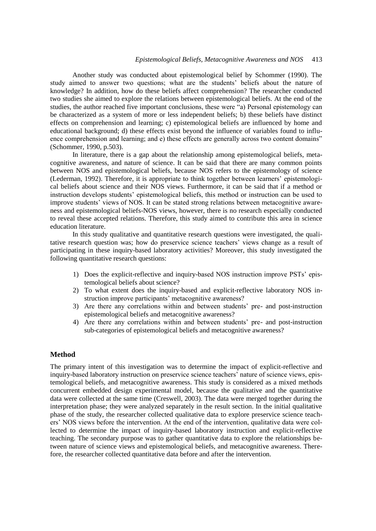Another study was conducted about epistemological belief by Schommer (1990). The study aimed to answer two questions; what are the students' beliefs about the nature of knowledge? In addition, how do these beliefs affect comprehension? The researcher conducted two studies she aimed to explore the relations between epistemological beliefs. At the end of the studies, the author reached five important conclusions, these were "a) Personal epistemology can be characterized as a system of more or less independent beliefs; b) these beliefs have distinct effects on comprehension and learning; c) epistemological beliefs are influenced by home and educational background; d) these effects exist beyond the influence of variables found to influence comprehension and learning; and e) these effects are generally across two content domains" (Schommer, 1990, p.503).

In literature, there is a gap about the relationship among epistemological beliefs, metacognitive awareness, and nature of science. It can be said that there are many common points between NOS and epistemological beliefs, because NOS refers to the epistemology of science (Lederman, 1992). Therefore, it is appropriate to think together between learners' epistemological beliefs about science and their NOS views. Furthermore, it can be said that if a method or instruction develops students' epistemological beliefs, this method or instruction can be used to improve students' views of NOS. It can be stated strong relations between metacognitive awareness and epistemological beliefs-NOS views, however, there is no research especially conducted to reveal these accepted relations. Therefore, this study aimed to contribute this area in science education literature.

In this study qualitative and quantitative research questions were investigated, the qualitative research question was; how do preservice science teachers' views change as a result of participating in these inquiry-based laboratory activities? Moreover, this study investigated the following quantitative research questions:

- 1) Does the explicit-reflective and inquiry-based NOS instruction improve PSTs' epistemological beliefs about science?
- 2) To what extent does the inquiry-based and explicit-reflective laboratory NOS instruction improve participants' metacognitive awareness?
- 3) Are there any correlations within and between students' pre- and post-instruction epistemological beliefs and metacognitive awareness?
- 4) Are there any correlations within and between students' pre- and post-instruction sub-categories of epistemological beliefs and metacognitive awareness?

#### **Method**

The primary intent of this investigation was to determine the impact of explicit-reflective and inquiry-based laboratory instruction on preservice science teachers' nature of science views, epistemological beliefs, and metacognitive awareness. This study is considered as a mixed methods concurrent embedded design experimental model, because the qualitative and the quantitative data were collected at the same time (Creswell, 2003). The data were merged together during the interpretation phase; they were analyzed separately in the result section. In the initial qualitative phase of the study, the researcher collected qualitative data to explore preservice science teachers' NOS views before the intervention. At the end of the intervention, qualitative data were collected to determine the impact of inquiry-based laboratory instruction and explicit-reflective teaching. The secondary purpose was to gather quantitative data to explore the relationships between nature of science views and epistemological beliefs, and metacognitive awareness. Therefore, the researcher collected quantitative data before and after the intervention.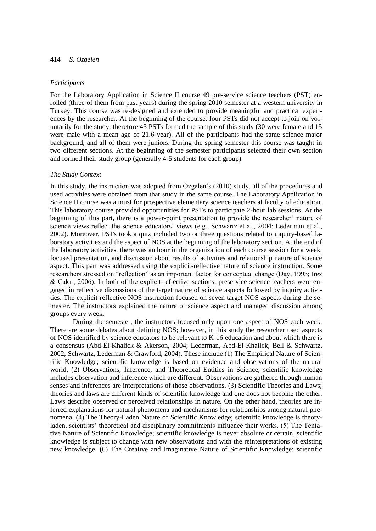#### *Participants*

For the Laboratory Application in Science II course 49 pre-service science teachers (PST) enrolled (three of them from past years) during the spring 2010 semester at a western university in Turkey. This course was re-designed and extended to provide meaningful and practical experiences by the researcher. At the beginning of the course, four PSTs did not accept to join on voluntarily for the study, therefore 45 PSTs formed the sample of this study (30 were female and 15 were male with a mean age of 21.6 year). All of the participants had the same science major background, and all of them were juniors. During the spring semester this course was taught in two different sections. At the beginning of the semester participants selected their own section and formed their study group (generally 4-5 students for each group).

## *The Study Context*

In this study, the instruction was adopted from Ozgelen's (2010) study, all of the procedures and used activities were obtained from that study in the same course. The Laboratory Application in Science II course was a must for prospective elementary science teachers at faculty of education. This laboratory course provided opportunities for PSTs to participate 2-hour lab sessions. At the beginning of this part, there is a power-point presentation to provide the researcher' nature of science views reflect the science educators' views (e.g., Schwartz et al., 2004; Lederman et al., 2002). Moreover, PSTs took a quiz included two or three questions related to inquiry-based laboratory activities and the aspect of NOS at the beginning of the laboratory section. At the end of the laboratory activities, there was an hour in the organization of each course session for a week, focused presentation, and discussion about results of activities and relationship nature of science aspect. This part was addressed using the explicit-reflective nature of science instruction. Some researchers stressed on "reflection" as an important factor for conceptual change (Day, 1993; Irez & Cakır, 2006). In both of the explicit-reflective sections, preservice science teachers were engaged in reflective discussions of the target nature of science aspects followed by inquiry activities. The explicit-reflective NOS instruction focused on seven target NOS aspects during the semester. The instructors explained the nature of science aspect and managed discussion among groups every week.

During the semester, the instructors focused only upon one aspect of NOS each week. There are some debates about defining NOS; however, in this study the researcher used aspects of NOS identified by science educators to be relevant to K-16 education and about which there is a consensus (Abd-El-Khalick & Akerson, 2004; Lederman, Abd-El-Khalick, Bell & Schwartz, 2002; Schwartz, Lederman & Crawford, 2004). These include (1) The Empirical Nature of Scientific Knowledge; scientific knowledge is based on evidence and observations of the natural world. (2) Observations, Inference, and Theoretical Entities in Science; scientific knowledge includes observation and inference which are different. Observations are gathered through human senses and inferences are interpretations of those observations. (3) Scientific Theories and Laws; theories and laws are different kinds of scientific knowledge and one does not become the other. Laws describe observed or perceived relationships in nature. On the other hand, theories are inferred explanations for natural phenomena and mechanisms for relationships among natural phenomena. (4) The Theory-Laden Nature of Scientific Knowledge; scientific knowledge is theoryladen, scientists' theoretical and disciplinary commitments influence their works. (5) The Tentative Nature of Scientific Knowledge; scientific knowledge is never absolute or certain, scientific knowledge is subject to change with new observations and with the reinterpretations of existing new knowledge. (6) The Creative and Imaginative Nature of Scientific Knowledge; scientific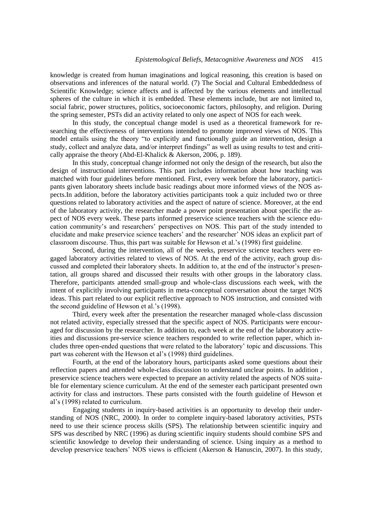knowledge is created from human imaginations and logical reasoning, this creation is based on observations and inferences of the natural world. (7) The Social and Cultural Embeddedness of Scientific Knowledge; science affects and is affected by the various elements and intellectual spheres of the culture in which it is embedded. These elements include, but are not limited to, social fabric, power structures, politics, socioeconomic factors, philosophy, and religion. During the spring semester, PSTs did an activity related to only one aspect of NOS for each week.

In this study, the conceptual change model is used as a theoretical framework for researching the effectiveness of interventions intended to promote improved views of NOS. This model entails using the theory "to explicitly and functionally guide an intervention, design a study, collect and analyze data, and/or interpret findings" as well as using results to test and critically appraise the theory (Abd-El-Khalick & Akerson, 2006, p. 189).

In this study, conceptual change informed not only the design of the research, but also the design of instructional interventions. This part includes information about how teaching was matched with four guidelines before mentioned. First, every week before the laboratory, participants given laboratory sheets include basic readings about more informed views of the NOS aspects.In addition, before the laboratory activities participants took a quiz included two or three questions related to laboratory activities and the aspect of nature of science. Moreover, at the end of the laboratory activity, the researcher made a power point presentation about specific the aspect of NOS every week. These parts informed preservice science teachers with the science education community's and researchers' perspectives on NOS. This part of the study intended to elucidate and make preservice science teachers' and the researcher' NOS ideas an explicit part of classroom discourse. Thus, this part was suitable for Hewson et al.'s (1998) first guideline.

Second, during the intervention, all of the weeks, preservice science teachers were engaged laboratory activities related to views of NOS. At the end of the activity, each group discussed and completed their laboratory sheets. In addition to, at the end of the instructor's presentation, all groups shared and discussed their results with other groups in the laboratory class. Therefore, participants attended small-group and whole-class discussions each week, with the intent of explicitly involving participants in meta-conceptual conversation about the target NOS ideas. This part related to our explicit reflective approach to NOS instruction, and consisted with the second guideline of Hewson et al.'s (1998).

Third, every week after the presentation the researcher managed whole-class discussion not related activity, especially stressed that the specific aspect of NOS. Participants were encouraged for discussion by the researcher. In addition to, each week at the end of the laboratory activities and discussions pre-service science teachers responded to write reflection paper, which includes three open-ended questions that were related to the laboratory' topic and discussions. This part was coherent with the Hewson et al's (1998) third guidelines.

Fourth, at the end of the laboratory hours, participants asked some questions about their reflection papers and attended whole-class discussion to understand unclear points. In addition , preservice science teachers were expected to prepare an activity related the aspects of NOS suitable for elementary science curriculum. At the end of the semester each participant presented own activity for class and instructors. These parts consisted with the fourth guideline of Hewson et al's (1998) related to curriculum.

Engaging students in inquiry-based activities is an opportunity to develop their understanding of NOS (NRC, 2000). In order to complete inquiry-based laboratory activities, PSTs need to use their science process skills (SPS). The relationship between scientific inquiry and SPS was described by NRC (1996) as during scientific inquiry students should combine SPS and scientific knowledge to develop their understanding of science. Using inquiry as a method to develop preservice teachers' NOS views is efficient (Akerson & Hanuscin, 2007). In this study,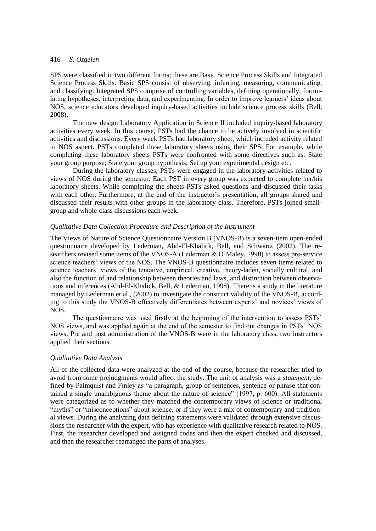SPS were classified in two different forms; these are Basic Science Process Skills and Integrated Science Process Skills. Basic SPS consist of observing, inferring, measuring, communicating, and classifying. Integrated SPS comprise of controlling variables, defining operationally, formulating hypotheses, interpreting data, and experimenting. In order to improve learners' ideas about NOS, science educators developed inquiry-based activities include science process skills (Bell, 2008).

The new design Laboratory Application in Science II included inquiry-based laboratory activities every week. In this course, PSTs had the chance to be actively involved in scientific activities and discussions. Every week PSTs had laboratory sheet, which included activity related to NOS aspect. PSTs completed these laboratory sheets using their SPS. For example, while completing these laboratory sheets PSTs were confronted with some directives such as: State your group purpose; State your group hypothesis; Set up your experimental design etc.

During the laboratory classes, PSTs were engaged in the laboratory activities related to views of NOS during the semester. Each PST in every group was expected to complete her/his laboratory sheets. While completing the sheets PSTs asked questions and discussed their tasks with each other. Furthermore, at the end of the instructor's presentation, all groups shared and discussed their results with other groups in the laboratory class. Therefore, PSTs joined smallgroup and whole-class discussions each week.

## *Qualitative Data Collection Procedure and Description of the Instrument*

The Views of Nature of Science Questionnaire Version B (VNOS-B) is a seven-item open-ended questionnaire developed by Lederman, Abd-El-Khalick, Bell, and Schwartz (2002). The researchers revised some items of the VNOS-A (Lederman & O'Maley, 1990) to assess pre-service science teachers' views of the NOS. The VNOS-B questionnaire includes seven items related to science teachers' views of the tentative, empirical, creative, theory-laden, socially cultural, and also the function of and relationship between theories and laws, and distinction between observations and inferences (Abd-El-Khalick, Bell, & Lederman, 1998). There is a study in the literature managed by Lederman et al., (2002) to investigate the construct validity of the VNOS-B, according to this study the VNOS-B effectively differentiates between experts' and novices' views of NOS.

The questionnaire was used firstly at the beginning of the intervention to assess PSTs' NOS views, and was applied again at the end of the semester to find out changes in PSTs' NOS views. Pre and post administration of the VNOS-B were in the laboratory class, two instructors applied their sections.

#### *Qualitative Data Analysis*

All of the collected data were analyzed at the end of the course, because the researcher tried to avoid from some prejudgments would affect the study. The unit of analysis was a *statement*, defined by Palmquist and Finley as "a paragraph, group of sentences, sentence or phrase that contained a single unambiguous theme about the nature of science" (1997, p. 600). All statements were categorized as to whether they matched the contemporary views of science or traditional "myths" or "misconceptions" about science, or if they were a mix of contemporary and traditional views. During the analyzing data defining statements were validated through extensive discussions the researcher with the expert, who has experience with qualitative research related to NOS. First, the researcher developed and assigned codes and then the expert checked and discussed, and then the researcher rearranged the parts of analyses.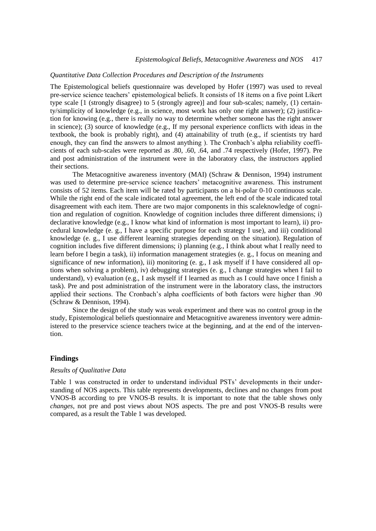#### *Quantitative Data Collection Procedures and Description of the Instruments*

The Epistemological beliefs questionnaire was developed by Hofer (1997) was used to reveal pre-service science teachers' epistemological beliefs. It consists of 18 items on a five point Likert type scale [1 (strongly disagree) to 5 (strongly agree)] and four sub-scales; namely, (1) certainty/simplicity of knowledge (e.g., in science, most work has only one right answer); (2) justification for knowing (e.g., there is really no way to determine whether someone has the right answer in science); (3) source of knowledge (e.g., If my personal experience conflicts with ideas in the textbook, the book is probably right), and (4) attainability of truth (e.g., if scientists try hard enough, they can find the answers to almost anything ). The Cronbach's alpha reliability coefficients of each sub-scales were reported as .80, .60, .64, and .74 respectively (Hofer, 1997). Pre and post administration of the instrument were in the laboratory class, the instructors applied their sections.

The Metacognitive awareness inventory (MAI) (Schraw & Dennison, 1994) instrument was used to determine pre-service science teachers' metacognitive awareness. This instrument consists of 52 items. Each item will be rated by participants on a bi-polar 0-10 continuous scale. While the right end of the scale indicated total agreement, the left end of the scale indicated total disagreement with each item. There are two major components in this scaleknowledge of cognition and regulation of cognition. Knowledge of cognition includes three different dimensions; i) declarative knowledge (e.g., I know what kind of information is most important to learn), ii) procedural knowledge (e. g., I have a specific purpose for each strategy I use), and iii) conditional knowledge (e. g., I use different learning strategies depending on the situation). Regulation of cognition includes five different dimensions; i) planning (e.g., I think about what I really need to learn before I begin a task), ii) information management strategies (e. g., I focus on meaning and significance of new information), iii) monitoring (e. g., I ask myself if I have considered all options when solving a problem), iv) debugging strategies (e. g., I change strategies when I fail to understand), v) evaluation (e.g., I ask myself if I learned as much as I could have once I finish a task). Pre and post administration of the instrument were in the laboratory class, the instructors applied their sections. The Cronbach's alpha coefficients of both factors were higher than .90 (Schraw & Dennison, 1994).

Since the design of the study was weak experiment and there was no control group in the study, Epistemological beliefs questionnaire and Metacognitive awareness inventory were administered to the preservice science teachers twice at the beginning, and at the end of the intervention.

## **Findings**

#### *Results of Qualitative Data*

Table 1 was constructed in order to understand individual PSTs' developments in their understanding of NOS aspects. This table represents developments, declines and no changes from post VNOS-B according to pre VNOS-B results. It is important to note that the table shows only *changes*, not pre and post views about NOS aspects. The pre and post VNOS-B results were compared, as a result the Table 1 was developed.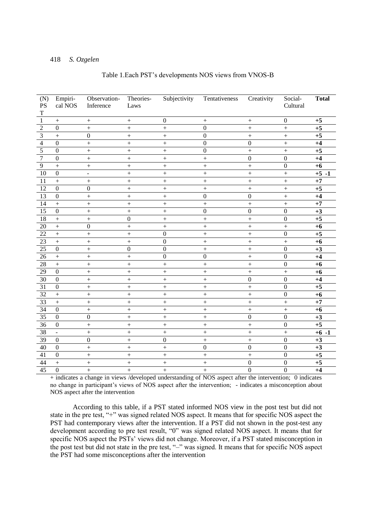| Table 1. Each PST's developments NOS views from VNOS-B |
|--------------------------------------------------------|
|--------------------------------------------------------|

| (N)<br>PS<br>$\mathbf T$ | Empiri-<br>cal NOS | Observation-<br>Inference | Theories-<br>Laws | Subjectivity      | Tentativeness     | Creativity       | Social-<br>Cultural | <b>Total</b> |
|--------------------------|--------------------|---------------------------|-------------------|-------------------|-------------------|------------------|---------------------|--------------|
| $\overline{1}$           | $\boldsymbol{+}$   | $\boldsymbol{+}$          |                   | $\boldsymbol{0}$  |                   |                  | $\boldsymbol{0}$    | $+5$         |
| $\overline{2}$           | $\mathbf{0}$       | $\ddot{}$                 | $^{+}$            | $^{+}$            | $\mathbf{0}$      | $\! +$           | $\ddot{}$           | $+5$         |
| $\overline{\mathbf{3}}$  | $\ddot{}$          | $\boldsymbol{0}$          | $\ddot{}$         | $\qquad \qquad +$ | $\overline{0}$    | $\ddot{}$        | $^{+}$              | $+5$         |
| $\overline{4}$           | $\boldsymbol{0}$   | $\ddot{}$                 | $\boldsymbol{+}$  | $\qquad \qquad +$ | $\boldsymbol{0}$  | $\boldsymbol{0}$ | $\qquad \qquad +$   | $+4$         |
| $\overline{5}$           | $\overline{0}$     | $^{+}$                    | $^{+}$            | $\qquad \qquad +$ | $\boldsymbol{0}$  | $\ddot{}$        | $^{+}$              | $+5$         |
| $\overline{7}$           | $\mathbf{0}$       | $^{+}$                    | $^{+}$            | $\qquad \qquad +$ | $\ddot{}$         | $\boldsymbol{0}$ | $\boldsymbol{0}$    | $+4$         |
| $\overline{9}$           | $\ddot{}$          | $^{+}$                    | $\boldsymbol{+}$  | $\qquad \qquad +$ | $\! + \!$         | $\! + \!$        | $\boldsymbol{0}$    | $+6$         |
| 10                       | $\boldsymbol{0}$   | $\overline{a}$            | $\boldsymbol{+}$  | $\ddot{}$         | $\ddot{}$         | $\ddot{}$        | $\boldsymbol{+}$    | $+5 - 1$     |
| 11                       | $\! +$             | $^{+}$                    | $^{+}$            | $\ddot{}$         | $^{+}$            | $^{+}$           | $^{+}$              | $+7$         |
| $\overline{12}$          | $\boldsymbol{0}$   | $\mathbf{0}$              | $^{+}$            | $\ddot{}$         | $\ddot{}$         | $^{+}$           | $^{+}$              | $+5$         |
| 13                       | $\overline{0}$     | $\ddot{}$                 | $\ddot{}$         | $\ddot{}$         | $\boldsymbol{0}$  | $\mathbf{0}$     | $^{+}$              | $+4$         |
| 14                       | $+$                | $\ddot{}$                 | $^{+}$            | $\ddot{}$         | $^{+}$            | $\ddot{}$        | $\ddot{}$           | $+7$         |
| 15                       | $\overline{0}$     | $\ddot{}$                 | $\ddot{}$         | $\ddot{}$         | $\boldsymbol{0}$  | $\mathbf{0}$     | $\boldsymbol{0}$    | $+3$         |
| 18                       | $\boldsymbol{+}$   | $\ddot{}$                 | $\mathbf{0}$      | $\ddot{}$         | $\! + \!$         | $\ddot{}$        | $\boldsymbol{0}$    | $+5$         |
| 20                       | $\qquad \qquad +$  | $\boldsymbol{0}$          | $^{+}$            | $\! + \!$         | $\! + \!$         | $^{+}$           | $^{+}$              | $+6$         |
| 22                       | $\! +$             | $\ddot{}$                 | $^{+}$            | $\mathbf{0}$      | $\boldsymbol{+}$  | $\ddot{}$        | $\overline{0}$      | $+5$         |
| $\overline{23}$          | $\ddot{}$          | $\ddot{}$                 | $\ddot{}$         | $\overline{0}$    | $\ddot{}$         | $\ddot{}$        | $\ddot{}$           | $+6$         |
| $\overline{25}$          | $\overline{0}$     | $\ddot{}$                 | $\overline{0}$    | $\boldsymbol{0}$  | $\qquad \qquad +$ | $\ddot{}$        | $\boldsymbol{0}$    | $+3$         |
| $\overline{26}$          | $\qquad \qquad +$  | $\ddot{}$                 | $\ddot{}$         | $\overline{0}$    | $\boldsymbol{0}$  | $\ddot{}$        | $\boldsymbol{0}$    | $+4$         |
| $\overline{28}$          | $\ddot{}$          | $\ddot{}$                 | $\ddot{}$         | $\ddot{}$         | $\ddot{}$         | $\ddot{}$        | $\overline{0}$      | $+6$         |
| 29                       | $\overline{0}$     | $\ddot{}$                 | $\ddot{}$         | $\ddot{}$         | $\ddot{}$         | $\ddot{}$        | $^{+}$              | $+6$         |
| $\overline{30}$          | $\mathbf{0}$       | $^{+}$                    | $\ddot{}$         | $\ddot{}$         | $\qquad \qquad +$ | $\overline{0}$   | $\overline{0}$      | $+4$         |
| $\overline{31}$          | $\overline{0}$     | $\ddot{}$                 | $\ddot{}$         | $\ddot{}$         | $\ddot{}$         | $\ddot{}$        | $\overline{0}$      | $+5$         |
| 32                       | $\ddot{}$          | $\ddot{}$                 | $\ddot{}$         | $\ddot{}$         | $\ddot{}$         | $\ddot{}$        | $\overline{0}$      | $+6$         |
| 33                       | $\ddot{}$          | $\ddot{}$                 | $\ddot{}$         | $\ddot{}$         | $\ddot{}$         | $\ddot{}$        | $\ddot{}$           | $+7$         |
| $\overline{34}$          | $\boldsymbol{0}$   | $\ddot{}$                 | $\ddot{}$         | $\ddot{}$         | $\ddot{}$         | $\ddot{}$        | $\ddot{}$           | $+6$         |
| $\overline{35}$          | $\overline{0}$     | $\overline{0}$            | $+$               | $^{+}$            | $^{+}$            | $\overline{0}$   | $\overline{0}$      | $+3$         |
| 36                       | $\overline{0}$     | $^{+}$                    | $^{+}$            | $^{+}$            | $^{+}$            | $^{+}$           | $\overline{0}$      | $+5$         |
| 38                       |                    | $\ddot{}$                 | $^{+}$            | $\! + \!$         | $\boldsymbol{+}$  | $\! + \!$        | $^{+}$              | $+6 -1$      |
| 39                       | $\overline{0}$     | $\boldsymbol{0}$          | $\! + \!$         | $\boldsymbol{0}$  | $\! + \!$         | $^{+}$           | $\boldsymbol{0}$    | $+3$         |
| 40                       | $\overline{0}$     | $\ddot{}$                 | $\ddot{}$         | $\overline{+}$    | $\overline{0}$    | $\overline{0}$   | $\overline{0}$      | $+3$         |
| $\overline{41}$          | $\overline{0}$     | $\ddot{}$                 | $\ddot{}$         | $\ddot{}$         | $\ddot{}$         | $\ddot{}$        | $\overline{0}$      | $+5$         |
| 44                       | $\! + \!$          | $\ddot{}$                 | $\ddot{}$         | $\overline{+}$    | $+$               | $\overline{0}$   | $\overline{0}$      | $+5$         |
| $\overline{45}$          | $\overline{0}$     | $\ddot{}$                 | $\ddot{}$         | $\ddot{}$         | $\ddot{}$         | $\overline{0}$   | $\overline{0}$      | $+4$         |

+ indicates a change in views /developed understanding of NOS aspect after the intervention; 0 indicates no change in participant's views of NOS aspect after the intervention; - indicates a misconception about NOS aspect after the intervention

According to this table, if a PST stated informed NOS view in the post test but did not state in the pre test, "+" was signed related NOS aspect. It means that for specific NOS aspect the PST had contemporary views after the intervention. If a PST did not shown in the post-test any development according to pre test result, "0" was signed related NOS aspect. It means that for specific NOS aspect the PSTs' views did not change. Moreover, if a PST stated misconception in the post test but did not state in the pre test, "–" was signed. It means that for specific NOS aspect the PST had some misconceptions after the intervention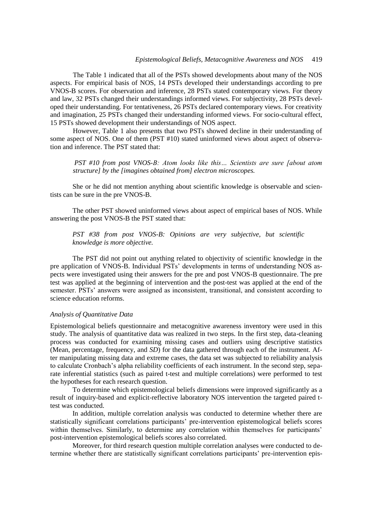The Table 1 indicated that all of the PSTs showed developments about many of the NOS aspects. For empirical basis of NOS, 14 PSTs developed their understandings according to pre VNOS-B scores. For observation and inference, 28 PSTs stated contemporary views. For theory and law, 32 PSTs changed their understandings informed views. For subjectivity, 28 PSTs developed their understanding. For tentativeness, 26 PSTs declared contemporary views. For creativity and imagination, 25 PSTs changed their understanding informed views. For socio-cultural effect, 15 PSTs showed development their understandings of NOS aspect.

However, Table 1 also presents that two PSTs showed decline in their understanding of some aspect of NOS. One of them (PST #10) stated uninformed views about aspect of observation and inference. The PST stated that:

*PST #10 from post VNOS-B: Atom looks like this… Scientists are sure [about atom structure] by the [imagines obtained from] electron microscopes.*

She or he did not mention anything about scientific knowledge is observable and scientists can be sure in the pre VNOS-B.

The other PST showed uninformed views about aspect of empirical bases of NOS. While answering the post VNOS-B the PST stated that:

*PST #38 from post VNOS-B: Opinions are very subjective, but scientific knowledge is more objective.* 

The PST did not point out anything related to objectivity of scientific knowledge in the pre application of VNOS-B. Individual PSTs' developments in terms of understanding NOS aspects were investigated using their answers for the pre and post VNOS-B questionnaire. The pre test was applied at the beginning of intervention and the post-test was applied at the end of the semester. PSTs' answers were assigned as inconsistent, transitional, and consistent according to science education reforms.

#### *Analysis of Quantitative Data*

Epistemological beliefs questionnaire and metacognitive awareness inventory were used in this study. The analysis of quantitative data was realized in two steps. In the first step, data-cleaning process was conducted for examining missing cases and outliers using descriptive statistics (Mean, percentage, frequency, and *SD*) for the data gathered through each of the instrument. After manipulating missing data and extreme cases, the data set was subjected to reliability analysis to calculate Cronbach's alpha reliability coefficients of each instrument. In the second step, separate inferential statistics (such as paired t-test and multiple correlations) were performed to test the hypotheses for each research question.

To determine which epistemological beliefs dimensions were improved significantly as a result of inquiry-based and explicit-reflective laboratory NOS intervention the targeted paired ttest was conducted.

In addition, multiple correlation analysis was conducted to determine whether there are statistically significant correlations participants' pre-intervention epistemological beliefs scores within themselves. Similarly, to determine any correlation within themselves for participants' post-intervention epistemological beliefs scores also correlated.

Moreover, for third research question multiple correlation analyses were conducted to determine whether there are statistically significant correlations participants' pre-intervention epis-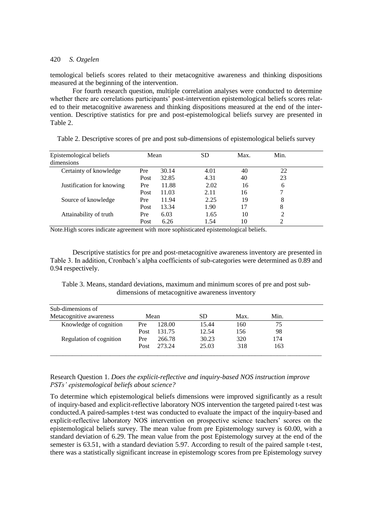temological beliefs scores related to their metacognitive awareness and thinking dispositions measured at the beginning of the intervention.

For fourth research question, multiple correlation analyses were conducted to determine whether there are correlations participants' post-intervention epistemological beliefs scores related to their metacognitive awareness and thinking dispositions measured at the end of the intervention. Descriptive statistics for pre and post-epistemological beliefs survey are presented in Table 2.

| Epistemological beliefs<br>dimensions | Mean |       | <b>SD</b> | Max. | Min. |  |
|---------------------------------------|------|-------|-----------|------|------|--|
| Certainty of knowledge                | Pre  | 30.14 | 4.01      | 40   | 22   |  |
|                                       | Post | 32.85 | 4.31      | 40   | 23   |  |
| Justification for knowing             | Pre  | 11.88 | 2.02      | 16   | 6    |  |
|                                       | Post | 11.03 | 2.11      | 16   |      |  |
| Source of knowledge                   | Pre  | 11.94 | 2.25      | 19   | 8    |  |
|                                       | Post | 13.34 | 1.90      | 17   | 8    |  |
| Attainability of truth                | Pre  | 6.03  | 1.65      | 10   | っ    |  |
|                                       | Post | 6.26  | 1.54      | 10   |      |  |

Table 2. Descriptive scores of pre and post sub-dimensions of epistemological beliefs survey

Note.High scores indicate agreement with more sophisticated epistemological beliefs.

Descriptive statistics for pre and post-metacognitive awareness inventory are presented in Table 3. In addition, Cronbach's alpha coefficients of sub-categories were determined as 0.89 and 0.94 respectively.

Table 3. Means, standard deviations, maximum and minimum scores of pre and post subdimensions of metacognitive awareness inventory

| Sub-dimensions of<br>Metacognitive awareness | Mean |        | SD    | Max. | Min. |  |
|----------------------------------------------|------|--------|-------|------|------|--|
| Knowledge of cognition                       | Pre  | 128.00 | 15.44 | 160  | 75   |  |
|                                              | Post | 131.75 | 12.54 | 156  | 98   |  |
| Regulation of cognition                      | Pre  | 266.78 | 30.23 | 320  | 174  |  |
|                                              | Post | 273.24 | 25.03 | 318  | 163  |  |
|                                              |      |        |       |      |      |  |

## Research Question 1. *Does the explicit-reflective and inquiry-based NOS instruction improve PSTs' epistemological beliefs about science?*

To determine which epistemological beliefs dimensions were improved significantly as a result of inquiry-based and explicit-reflective laboratory NOS intervention the targeted paired t-test was conducted.A paired-samples t-test was conducted to evaluate the impact of the inquiry-based and explicit-reflective laboratory NOS intervention on prospective science teachers' scores on the epistemological beliefs survey. The mean value from pre Epistemology survey is 60.00, with a standard deviation of 6.29. The mean value from the post Epistemology survey at the end of the semester is 63.51, with a standard deviation 5.97. According to result of the paired sample t-test, there was a statistically significant increase in epistemology scores from pre Epistemology survey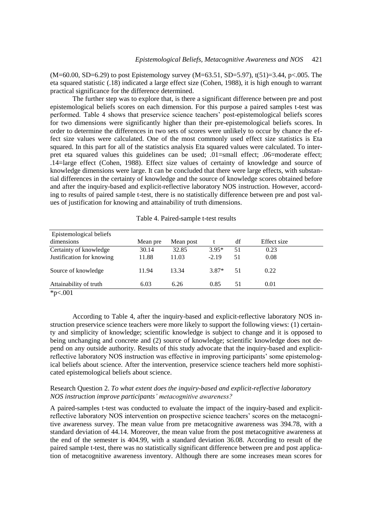$(M=60.00, SD=6.29)$  to post Epistemology survey  $(M=63.51, SD=5.97)$ , t(51)=3.44, p<.005. The eta squared statistic (.18) indicated a large effect size (Cohen, 1988), it is high enough to warrant practical significance for the difference determined.

The further step was to explore that, is there a significant difference between pre and post epistemological beliefs scores on each dimension. For this purpose a paired samples t-test was performed. Table 4 shows that preservice science teachers' post-epistemological beliefs scores for two dimensions were significantly higher than their pre-epistemological beliefs scores. In order to determine the differences in two sets of scores were unlikely to occur by chance the effect size values were calculated. One of the most commonly used effect size statistics is Eta squared. In this part for all of the statistics analysis Eta squared values were calculated. To interpret eta squared values this guidelines can be used; .01=small effect; .06=moderate effect; .14=large effect (Cohen, 1988). Effect size values of certainty of knowledge and source of knowledge dimensions were large. It can be concluded that there were large effects, with substantial differences in the certainty of knowledge and the source of knowledge scores obtained before and after the inquiry-based and explicit-reflective laboratory NOS instruction. However, according to results of paired sample t-test, there is no statistically difference between pre and post values of justification for knowing and attainability of truth dimensions.

| Epistemological beliefs   |          |           |         |    |             |  |
|---------------------------|----------|-----------|---------|----|-------------|--|
| dimensions                | Mean pre | Mean post |         | df | Effect size |  |
| Certainty of knowledge    | 30.14    | 32.85     | $3.95*$ | 51 | 0.23        |  |
| Justification for knowing | 11.88    | 11.03     | $-2.19$ | 51 | 0.08        |  |
| Source of knowledge       | 11.94    | 13.34     | $3.87*$ | 51 | 0.22        |  |
| Attainability of truth    | 6.03     | 6.26      | 0.85    | 51 | 0.01        |  |
| * $p<.001$                |          |           |         |    |             |  |

Table 4. Paired-sample t-test results

According to Table 4, after the inquiry-based and explicit-reflective laboratory NOS instruction preservice science teachers were more likely to support the following views: (1) certainty and simplicity of knowledge; scientific knowledge is subject to change and it is opposed to being unchanging and concrete and (2) source of knowledge; scientific knowledge does not depend on any outside authority. Results of this study advocate that the inquiry-based and explicitreflective laboratory NOS instruction was effective in improving participants' some epistemological beliefs about science. After the intervention, preservice science teachers held more sophisticated epistemological beliefs about science.

#### Research Question 2. *To what extent does the inquiry-based and explicit-reflective laboratory NOS instruction improve participants' metacognitive awareness?*

A paired-samples t-test was conducted to evaluate the impact of the inquiry-based and explicitreflective laboratory NOS intervention on prospective science teachers' scores on the metacognitive awareness survey. The mean value from pre metacognitive awareness was 394.78, with a standard deviation of 44.14. Moreover, the mean value from the post metacognitive awareness at the end of the semester is 404.99, with a standard deviation 36.08. According to result of the paired sample t-test, there was no statistically significant difference between pre and post application of metacognitive awareness inventory. Although there are some increases mean scores for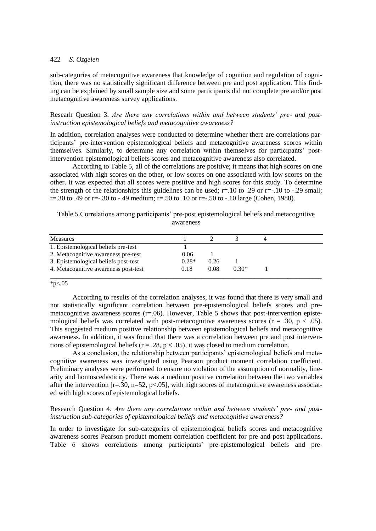sub-categories of metacognitive awareness that knowledge of cognition and regulation of cognition, there was no statistically significant difference between pre and post application. This finding can be explained by small sample size and some participants did not complete pre and/or post metacognitive awareness survey applications.

Researh Question 3. *Are there any correlations within and between students' pre- and postinstruction epistemological beliefs and metacognitive awareness?*

In addition, correlation analyses were conducted to determine whether there are correlations participants' pre-intervention epistemological beliefs and metacognitive awareness scores within themselves. Similarly, to determine any correlation within themselves for participants' postintervention epistemological beliefs scores and metacognitive awareness also correlated.

According to Table 5, all of the correlations are positive; it means that high scores on one associated with high scores on the other, or low scores on one associated with low scores on the other. It was expected that all scores were positive and high scores for this study. To determine the strength of the relationships this guidelines can be used;  $r=10$  to .29 or  $r=-10$  to  $-29$  small; r=.30 to .49 or r=-.30 to -.49 medium; r=.50 to .10 or r=-.50 to -.10 large (Cohen, 1988).

Table 5.Correlations among participants' pre-post epistemological beliefs and metacognitive awareness

| 0.06    |      |         |  |
|---------|------|---------|--|
| $0.28*$ | 0.26 |         |  |
|         | 0.08 | $0.30*$ |  |
|         | 0.18 |         |  |

 $*_{p<.05}$ 

According to results of the correlation analyses, it was found that there is very small and not statistically significant correlation between pre-epistemological beliefs scores and premetacognitive awareness scores  $(r=0.06)$ . However, Table 5 shows that post-intervention epistemological beliefs was correlated with post-metacognitive awareness scores ( $r = .30$ ,  $p < .05$ ). This suggested medium positive relationship between epistemological beliefs and metacognitive awareness. In addition, it was found that there was a correlation between pre and post interventions of epistemological beliefs ( $r = .28$ ,  $p < .05$ ), it was closed to medium correlation.

As a conclusion, the relationship between participants' epistemological beliefs and metacognitive awareness was investigated using Pearson product moment correlation coefficient. Preliminary analyses were performed to ensure no violation of the assumption of normality, linearity and homoscedasticity. There was a medium positive correlation between the two variables after the intervention  $[r=30, n=52, p<0.05]$ , with high scores of metacognitive awareness associated with high scores of epistemological beliefs.

## Research Question 4. *Are there any correlations within and between students' pre- and postinstruction sub-categories of epistemological beliefs and metacognitive awareness?*

In order to investigate for sub-categories of epistemological beliefs scores and metacognitive awareness scores Pearson product moment correlation coefficient for pre and post applications. Table 6 shows correlations among participants' pre-epistemological beliefs and pre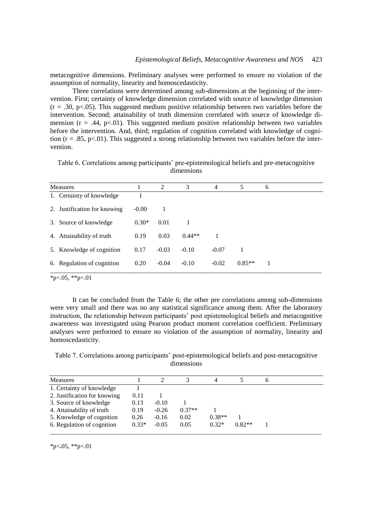metacognitive dimensions. Preliminary analyses were performed to ensure no violation of the assumption of normality, linearity and homoscedasticity.

Three correlations were determined among sub-dimensions at the beginning of the intervention. First; certainty of knowledge dimension correlated with source of knowledge dimension  $(r = .30, p < .05)$ . This suggested medium positive relationship between two variables before the intervention. Second; attainability of truth dimension correlated with source of knowledge dimension ( $r = .44$ ,  $p < .01$ ). This suggested medium positive relationship between two variables before the intervention. And, third; regulation of cognition correlated with knowledge of cognition ( $r = .85$ ,  $p < .01$ ). This suggested a strong relationship between two variables before the intervention.

Table 6. Correlations among participants' pre-epistemological beliefs and pre-metacognitive dimensions

| <b>Measures</b>              |         | 2       | 3        | $\overline{4}$ | 5        | 6 |
|------------------------------|---------|---------|----------|----------------|----------|---|
| 1. Certainty of knowledge    |         |         |          |                |          |   |
| 2. Justification for knowing | $-0.00$ |         |          |                |          |   |
| 3. Source of knowledge       | $0.30*$ | 0.01    |          |                |          |   |
| 4. Attainability of truth    | 0.19    | 0.03    | $0.44**$ | 1              |          |   |
| 5. Knowledge of cognition    | 0.17    | $-0.03$ | $-0.10$  | $-0.07$        |          |   |
| 6. Regulation of cognition   | 0.20    | $-0.04$ | $-0.10$  | $-0.02$        | $0.85**$ |   |

 $*p<.05$ ,  $*p<.01$ 

It can be concluded from the Table 6; the other pre correlations among sub-dimensions were very small and there was no any statistical significance among them. After the laboratory instruction, the relationship between participants' post epistemological beliefs and metacognitive awareness was investigated using Pearson product moment correlation coefficient. Preliminary analyses were performed to ensure no violation of the assumption of normality, linearity and homoscedasticity.

Table 7. Correlations among participants' post-epistemological beliefs and post-metacognitive dimensions

| <b>Measures</b>              |         |         |          |          |          | o |
|------------------------------|---------|---------|----------|----------|----------|---|
| 1. Certainty of knowledge    |         |         |          |          |          |   |
| 2. Justification for knowing | 0.11    |         |          |          |          |   |
| 3. Source of knowledge       | 0.13    | $-0.10$ |          |          |          |   |
| 4. Attainability of truth    | 0.19    | $-0.26$ | $0.37**$ |          |          |   |
| 5. Knowledge of cognition    | 0.26    | $-0.16$ | 0.02     | $0.38**$ |          |   |
| 6. Regulation of cognition   | $0.33*$ | $-0.05$ | 0.05     | $0.32*$  | $0.82**$ |   |
|                              |         |         |          |          |          |   |

\*p<**.**05, \*\*p<.01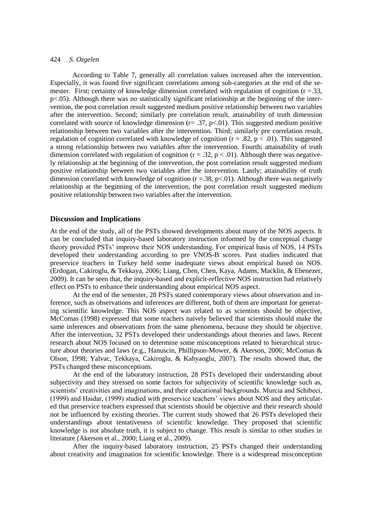According to Table 7, generally all correlation values increased after the intervention. Especially, it was found five significant correlations among sub-categories at the end of the semester. First; certainty of knowledge dimension correlated with regulation of cognition (r =.33, p<.05). Although there was no statistically significant relationship at the beginning of the intervention, the post correlation result suggested medium positive relationship between two variables after the intervention. Second; similarly pre correlation result, attainability of truth dimension correlated with source of knowledge dimension ( $r = .37$ ,  $p < .01$ ). This suggested medium positive relationship between two variables after the intervention. Third; similarly pre correlation result, regulation of cognition correlated with knowledge of cognition  $(r = .82, p < .01)$ . This suggested a strong relationship between two variables after the intervention. Fourth; attainability of truth dimension correlated with regulation of cognition ( $r = .32$ ,  $p < .01$ ). Although there was negatively relationship at the beginning of the intervention, the post correlation result suggested medium positive relationship between two variables after the intervention. Lastly; attainability of truth dimension correlated with knowledge of cognition  $(r = .38, p < .01)$ . Although there was negatively relationship at the beginning of the intervention, the post correlation result suggested medium positive relationship between two variables after the intervention.

#### **Discussion and Implications**

At the end of the study, all of the PSTs showed developments about many of the NOS aspects. It can be concluded that inquiry-based laboratory instruction informed by the conceptual change theory provided PSTs' improve their NOS understanding. For empirical basis of NOS, 14 PSTs developed their understanding according to pre VNOS-B scores. Past studies indicated that preservice teachers in Turkey held some inadequate views about empirical based on NOS. (Erdogan, Cakiroglu, & Tekkaya, 2006; Liang, Chen, Chen, Kaya, Adams, Macklin, & Ebenezer, 2009). It can be seen that, the inquiry-based and explicit-reflective NOS instruction had relatively effect on PSTs to enhance their understanding about empirical NOS aspect.

At the end of the semester, 28 PSTs stated contemporary views about observation and inference, such as observations and inferences are different, both of them are important for generating scientific knowledge. This NOS aspect was related to as scientists should be objective, McComas (1998) expressed that some teachers naively believed that scientists should make the same inferences and observations from the same phenomena, because they should be objective. After the intervention, 32 PSTs developed their understandings about theories and laws. Recent research about NOS focused on to determine some misconceptions related to hierarchical structure about theories and laws (e.g., Hanuscin, Phillipson-Mower, & Akerson, 2006; McComas & Olson, 1998; Yalvac, Tekkaya, Cakiroglu, & Kahyaoglu, 2007). The results showed that, the PSTs changed these misconceptions.

At the end of the laboratory instruction, 28 PSTs developed their understanding about subjectivity and they stressed on some factors for subjectivity of scientific knowledge such as, scientists' creativities and imaginations, and their educational backgrounds. Murcia and Schibeci, (1999) and Haidar, (1999) studied with preservice teachers' views about NOS and they articulated that preservice teachers expressed that scientists should be objective and their research should not be influenced by existing theories. The current study showed that 26 PSTs developed their understandings about tentativeness of scientific knowledge. They proposed that scientific knowledge is not absolute truth, it is subject to change. This result is similar to other studies in literature (Akerson et al., 2000; Liang et al., 2009).

After the inquiry-based laboratory instruction, 25 PSTs changed their understanding about creativity and imagination for scientific knowledge. There is a widespread misconception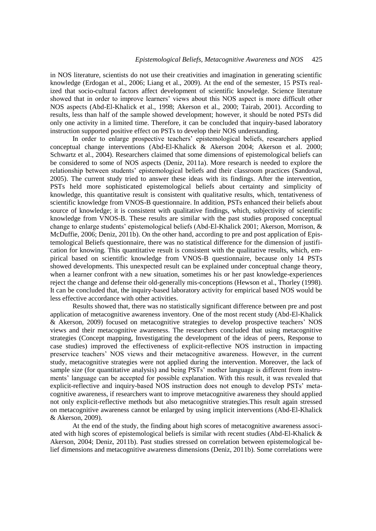in NOS literature, scientists do not use their creativities and imagination in generating scientific knowledge (Erdogan et al., 2006; Liang et al., 2009). At the end of the semester, 15 PSTs realized that socio-cultural factors affect development of scientific knowledge. Science literature showed that in order to improve learners' views about this NOS aspect is more difficult other NOS aspects (Abd-El-Khalick et al., 1998; Akerson et al., 2000; Tairab, 2001). According to results, less than half of the sample showed development; however, it should be noted PSTs did only one activity in a limited time. Therefore, it can be concluded that inquiry-based laboratory instruction supported positive effect on PSTs to develop their NOS understanding.

In order to enlarge prospective teachers' epistemological beliefs, researchers applied conceptual change interventions (Abd-El-Khalick & Akerson 2004; Akerson et al. 2000; Schwartz et al., 2004). Researchers claimed that some dimensions of epistemological beliefs can be considered to some of NOS aspects (Deniz, 2011a). More research is needed to explore the relationship between students' epistemological beliefs and their classroom practices (Sandoval, 2005). The current study tried to answer these ideas with its findings. After the intervention, PSTs held more sophisticated epistemological beliefs about certainty and simplicity of knowledge, this quantitative result is consistent with qualitative results, which, tentativeness of scientific knowledge from VNOS-B questionnaire. In addition, PSTs enhanced their beliefs about source of knowledge; it is consistent with qualitative findings, which, subjectivity of scientific knowledge from VNOS-B. These results are similar with the past studies proposed conceptual change to enlarge students' epistemological beliefs (Abd-El-Khalick 2001; Akerson, Morrison, & McDuffie, 2006; Deniz, 2011b). On the other hand, according to pre and post application of Epistemological Beliefs questionnaire, there was no statistical difference for the dimension of justification for knowing. This quantitative result is consistent with the qualitative results, which, empirical based on scientific knowledge from VNOS-B questionnaire, because only 14 PSTs showed developments. This unexpected result can be explained under conceptual change theory, when a learner confront with a new situation, sometimes his or her past knowledge-experiences reject the change and defense their old-generally mis-conceptions (Hewson et al., Thorley (1998). It can be concluded that, the inquiry-based laboratory activity for empirical based NOS would be less effective accordance with other activities.

Results showed that, there was no statistically significant difference between pre and post application of metacognitive awareness inventory. One of the most recent study (Abd-El-Khalick & Akerson, 2009) focused on metacognitive strategies to develop prospective teachers' NOS views and their metacognitive awareness. The researchers concluded that using metacognitive strategies (Concept mapping, Investigating the development of the ideas of peers, Response to case studies) improved the effectiveness of explicit-reflective NOS instruction in impacting preservice teachers' NOS views and their metacognitive awareness. However, in the current study, metacognitive strategies were not applied during the intervention. Moreover, the lack of sample size (for quantitative analysis) and being PSTs' mother language is different from instruments' language can be accepted for possible explanation. With this result, it was revealed that explicit-reflective and inquiry-based NOS instruction does not enough to develop PSTs' metacognitive awareness, if researchers want to improve metacognitive awareness they should applied not only explicit-reflective methods but also metacognitive strategies.This result again stressed on metacognitive awareness cannot be enlarged by using implicit interventions (Abd-El-Khalick & Akerson, 2009).

At the end of the study, the finding about high scores of metacognitive awareness associated with high scores of epistemological beliefs is similar with recent studies (Abd-El-Khalick & Akerson, 2004; Deniz, 2011b). Past studies stressed on correlation between epistemological belief dimensions and metacognitive awareness dimensions (Deniz, 2011b). Some correlations were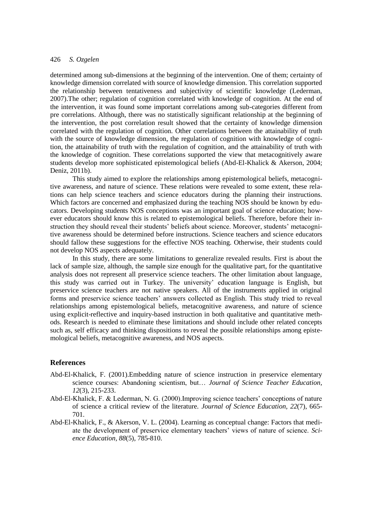determined among sub-dimensions at the beginning of the intervention. One of them; certainty of knowledge dimension correlated with source of knowledge dimension. This correlation supported the relationship between tentativeness and subjectivity of scientific knowledge (Lederman, 2007).The other; regulation of cognition correlated with knowledge of cognition. At the end of the intervention, it was found some important correlations among sub-categories different from pre correlations. Although, there was no statistically significant relationship at the beginning of the intervention, the post correlation result showed that the certainty of knowledge dimension correlated with the regulation of cognition. Other correlations between the attainability of truth with the source of knowledge dimension, the regulation of cognition with knowledge of cognition, the attainability of truth with the regulation of cognition, and the attainability of truth with the knowledge of cognition. These correlations supported the view that metacognitively aware students develop more sophisticated epistemological beliefs (Abd-El-Khalick & Akerson, 2004; Deniz, 2011b).

This study aimed to explore the relationships among epistemological beliefs, metacognitive awareness, and nature of science. These relations were revealed to some extent, these relations can help science teachers and science educators during the planning their instructions. Which factors are concerned and emphasized during the teaching NOS should be known by educators. Developing students NOS conceptions was an important goal of science education; however educators should know this is related to epistemological beliefs. Therefore, before their instruction they should reveal their students' beliefs about science. Moreover, students' metacognitive awareness should be determined before instructions. Science teachers and science educators should fallow these suggestions for the effective NOS teaching. Otherwise, their students could not develop NOS aspects adequately.

In this study, there are some limitations to generalize revealed results. First is about the lack of sample size, although, the sample size enough for the qualitative part, for the quantitative analysis does not represent all preservice science teachers. The other limitation about language, this study was carried out in Turkey. The university' education language is English, but preservice science teachers are not native speakers. All of the instruments applied in original forms and preservice science teachers' answers collected as English. This study tried to reveal relationships among epistemological beliefs, metacognitive awareness, and nature of science using explicit-reflective and inquiry-based instruction in both qualitative and quantitative methods. Research is needed to eliminate these limitations and should include other related concepts such as, self efficacy and thinking dispositions to reveal the possible relationships among epistemological beliefs, metacognitive awareness, and NOS aspects.

#### **References**

- Abd-El-Khalick, F. (2001).Embedding nature of science instruction in preservice elementary science courses: Abandoning scientism, but… *Journal of Science Teacher Education, 12*(3), 215-233.
- Abd-El-Khalick, F. & Lederman, N. G. (2000).Improving science teachers' conceptions of nature of science a critical review of the literature. *Journal of Science Education, 22*(7), 665- 701.
- Abd-El-Khalick, F., & Akerson, V. L. (2004). Learning as conceptual change: Factors that mediate the development of preservice elementary teachers' views of nature of science. *Science Education, 88*(5), 785-810.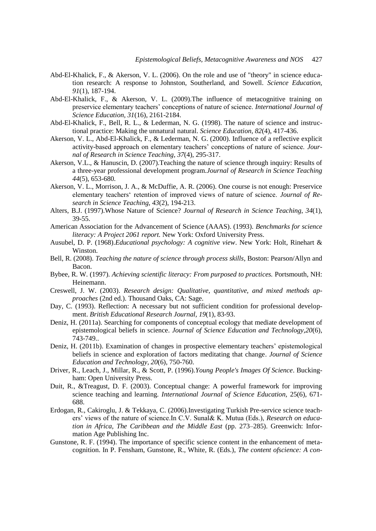- Abd-El-Khalick, F., & Akerson, V. L. (2006). On the role and use of "theory" in science education research: A response to Johnston, Southerland, and Sowell. *Science Education, 91*(1), 187-194.
- Abd-El-Khalick, F., & Akerson, V. L. (2009).The influence of metacognitive training on preservice elementary teachers' conceptions of nature of science. *International Journal of Science Education, 31*(16), 2161-2184.
- Abd-El-Khalick, F., Bell, R. L., & Lederman, N. G. (1998). The nature of science and instructional practice: Making the unnatural natural. *Science Education, 82*(4), 417-436.
- Akerson, V. L., Abd-El-Khalick, F., & Lederman, N. G. (2000). Influence of a reflective explicit activity-based approach on elementary teachers' conceptions of nature of science. *Journal of Research in Science Teaching, 37*(4), 295-317.
- Akerson, V.L., & Hanuscin, D. (2007).Teaching the nature of science through inquiry: Results of a three-year professional development program.*Journal of Research in Science Teaching 44*(5), 653-680*.*
- Akerson, V. L., Morrison, J. A., & McDuffie, A. R. (2006). One course is not enough: Preservice elementary teachers' retention of improved views of nature of science. *Journal of Research in Science Teaching, 43*(2), 194-213.
- Alters, B.J. (1997).Whose Nature of Science? *Journal of Research in Science Teaching*, *34*(1), 39-55.
- American Association for the Advancement of Science (AAAS). (1993). *Benchmarks for science literacy: A Project 2061 report.* New York: Oxford University Press.
- Ausubel, D. P. (1968).*Educational psychology: A cognitive view*. New York: Holt, Rinehart & Winston.
- Bell, R. (2008). *Teaching the nature of science through process skills*, Boston: Pearson/Allyn and Bacon.
- Bybee, R. W. (1997). *Achieving scientific literacy: From purposed to practices.* Portsmouth, NH: Heinemann.
- Creswell, J. W. (2003). *Research design: Qualitative, quantitative, and mixed methods approaches* (2nd ed.). Thousand Oaks, CA: Sage.
- Day, C. (1993). Reflection: A necessary but not sufficient condition for professional development. *British Educational Research Journal, 19*(1), 83-93.
- Deniz, H. (2011a). Searching for components of conceptual ecology that mediate development of epistemological beliefs in science. *Journal of Science Education and Technology,20*(6), 743-749..
- Deniz, H. (2011b). Examination of changes in prospective elementary teachers' epistemological beliefs in science and exploration of factors meditating that change. *Journal of Science Education and Technology, 20*(6), 750-760.
- Driver, R., Leach, J., Millar, R., & Scott, P. (1996).*Young People's Images Of Science*. Buckingham: Open University Press.
- Duit, R., &Treagust, D. F. (2003). Conceptual change: A powerful framework for improving science teaching and learning. *International Journal of Science Education,* 25(6), 671- 688.
- Erdogan, R., Cakiroglu, J. & Tekkaya, C. (2006).Investigating Turkish Pre-service science teachers' views of the nature of science.In C.V. Sunal& K. Mutua (Eds.), *Research on education in Africa, The Caribbean and the Middle East* (pp. 273–285). Greenwich: Information Age Publishing Inc.
- Gunstone, R. F. (1994). The importance of specific science content in the enhancement of metacognition. In P. Fensham, Gunstone, R., White, R. (Eds.), *The content ofscience: A con-*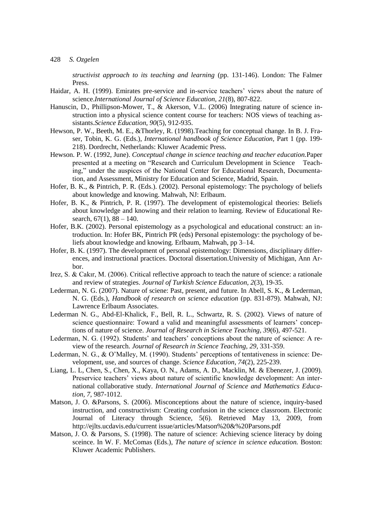*structivist approach to its teaching and learning* (pp. 131-146). London: The Falmer Press.

- Haidar, A. H. (1999). Emirates pre-service and in-service teachers' views about the nature of science.*International Journal of Science Education, 21*(8), 807-822.
- Hanuscin, D., Phillipson-Mower, T., & Akerson, V.L. (2006) Integrating nature of science instruction into a physical science content course for teachers: NOS views of teaching assistants.*Science Education, 90*(5), 912-935.
- Hewson, P. W., Beeth, M. E., &Thorley, R. (1998).Teaching for conceptual change. In B. J. Fraser, Tobin, K. G. (Eds.), *International handbook of Science Education,* Part 1 (pp. 199- 218). Dordrecht, Netherlands: Kluwer Academic Press.
- Hewson. P. W. (1992, June). *Conceptual change in science teaching and teacher education.*Paper presented at a meeting on "Research and Curriculum Development in Science Teaching," under the auspices of the National Center for Educational Research, Documentation, and Assessment, Ministry for Education and Science, Madrid, Spain.
- Hofer, B. K., & Pintrich, P. R. (Eds.). (2002). Personal epistemology: The psychology of beliefs about knowledge and knowing. Mahwah, NJ: Erlbaum.
- Hofer, B. K., & Pintrich, P. R. (1997). The development of epistemological theories: Beliefs about knowledge and knowing and their relation to learning. Review of Educational Research,  $67(1)$ ,  $88 - 140$ .
- Hofer, B.K. (2002). Personal epistemology as a psychological and educational construct: an introduction. In: Hofer BK, Pintrich PR (eds) Personal epistemology: the psychology of beliefs about knowledge and knowing. Erlbaum, Mahwah, pp 3–14.
- Hofer, B. K. (1997). The development of personal epistemology: Dimensions, disciplinary differences, and instructional practices. Doctoral dissertation.University of Michigan, Ann Arbor.
- Irez, S. & Cakır, M. (2006). Critical reflective approach to teach the nature of science: a rationale and review of strategies. *Journal of Turkish Science Education, 2*(3), 19-35.
- Lederman, N. G. (2007). Nature of sciene: Past, present, and future. In Abell, S. K., & Lederman, N. G. (Eds.), *Handbook of research on science education* (pp. 831-879). Mahwah, NJ: Lawrence Erlbaum Associates.
- Lederman N. G., Abd-El-Khalick, F., Bell, R. L., Schwartz, R. S. (2002). Views of nature of science questionnaire: Toward a valid and meaningful assessments of learners' conceptions of nature of science. *Journal of Research in Science Teaching, 39*(6), 497-521.
- Lederman, N. G. (1992). Students' and teachers' conceptions about the nature of science: A review of the research. *Journal of Research in Science Teaching, 29*, 331-359.
- Lederman, N. G., & O'Malley, M. (1990). Students' perceptions of tentativeness in science: Development, use, and sources of change. *Science Education, 74*(2), 225-239.
- Liang, L. L, Chen, S., Chen, X., Kaya, O. N., Adams, A. D., Macklin, M. & Ebenezer, J. (2009). Preservice teachers' views about nature of scientific knowledge development: An international collaborative study. *International Journal of Science and Mathematics Education, 7*, 987-1012.
- Matson, J. O. &Parsons, S. (2006). Misconceptions about the nature of science, inquiry-based instruction, and constructivism: Creating confusion in the science classroom. Electronic Journal of Literacy through Science, 5(6). Retrieved May 13, 2009, from http://ejlts.ucdavis.edu/current issue/articles/Matson%20&%20Parsons.pdf
- Matson, J. O. & Parsons, S. (1998). The nature of science: Achieving science literacy by doing sceince. In W. F. McComas (Eds.), *The nature of science in science education.* Boston: Kluwer Academic Publishers.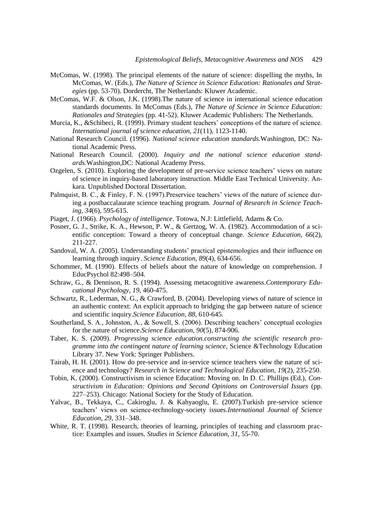- McComas, W. (1998). The principal elements of the nature of science: dispelling the myths, In McComas, W. (Eds.), *The Nature of Science in Science Education: Rationales and Strategies* (pp. 53-70). Dordercht, The Netherlands: Kluwer Academic.
- McComas, W.F. & Olson, J.K. (1998).The nature of science in international science education standards documents. In McComas (Eds.), *The Nature of Science in Science Education: Rationales and Strategies* (pp. 41-52). Kluwer Academic Publishers: The Netherlands.
- Murcia, K., &Schibeci, R. (1999). Primary student teachers' conceptions of the nature of science. *International journal of science education, 21*(11), 1123-1140.
- National Research Council. (1996). *National science education standards.*Washington, DC: National Academic Press.
- National Research Council. (2000). *Inquiry and the national science education standards.*Washington,DC: National Academy Press.
- Ozgelen, S. (2010). Exploring the development of pre-service science teachers' views on nature of science in inquiry-based laboratory instruction. Middle East Technical University. Ankara. Unpublished Doctoral Dissertation.
- Palmquist, B. C., & Finley, F. N. (1997). Preservice teachers' views of the nature of science during a postbaccalaurate science teaching program. *Journal of Research in Science Teaching, 34*(6), 595-615.
- Piaget, J. (1966). *Psychology of intelligence*. Totowa, N.J: Littlefield, Adams & Co.
- Posner, G. J., Strike, K. A., Hewson, P. W., & Gertzog, W. A. (1982). Accommodation of a scientific conception: Toward a theory of conceptual change. *Science Education, 66*(2), 211-227.
- Sandoval, W. A. (2005). Understanding students' practical epistemologies and their influence on learning through inquiry. *Science Education, 89*(4), 634-656.
- Schommer, M. (1990). Effects of beliefs about the nature of knowledge on comprehension. J EducPsychol 82:498–504.
- Schraw, G., & Dennison, R. S. (1994). Assessing metacognitive awareness.*Contemporary Educational Psychology, 19,* 460-475.
- Schwartz, R., Lederman, N. G., & Crawford, B. (2004). Developing views of nature of science in an authentic context: An explicit approach to bridging the gap between nature of science and scientific inquiry.*Science Education, 88,* 610-645.
- Southerland, S. A., Johnston, A., & Sowell, S. (2006). Describing teachers' conceptual ecologies for the nature of science.*Science Education, 90*(5), 874-906.
- Taber, K. S. (2009). *Progressing science education.constructing the scientific research programme into the contingent nature of learning science,* Science &Technology Education Library 37. New York: Springer Publishers.
- Tairab, H. H. (2001). How do pre-service and in-service science teachers view the nature of science and technology? *Research in Science and Technological Education, 19*(2), 235-250.
- Tobin, K. (2000). Constructivism in science Education: Moving on. In D. C. Phillips (Ed.), *Constructivism in Education: Opinions and Second Opinions on Controversial Issues* (pp. 227–253). Chicago: National Society for the Study of Education.
- Yalvac, B., Tekkaya, C., Cakiroglu, J. & Kahyaoglu, E. (2007).Turkish pre-service science teachers' views on science-technology-society issues.*International Journal of Science Education, 29,* 331–348.
- White, R. T. (1998). Research, theories of learning, principles of teaching and classroom practice: Examples and issues. *Studies in Science Education, 31*, 55-70.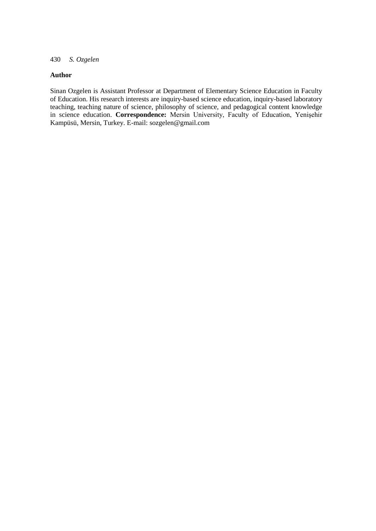## **Author**

Sinan Ozgelen is Assistant Professor at Department of Elementary Science Education in Faculty of Education. His research interests are inquiry-based science education, inquiry-based laboratory teaching, teaching nature of science, philosophy of science, and pedagogical content knowledge in science education. **Correspondence:** Mersin University, Faculty of Education, Yenişehir Kampüsü, Mersin, Turkey. E-mail: sozgelen@gmail.com